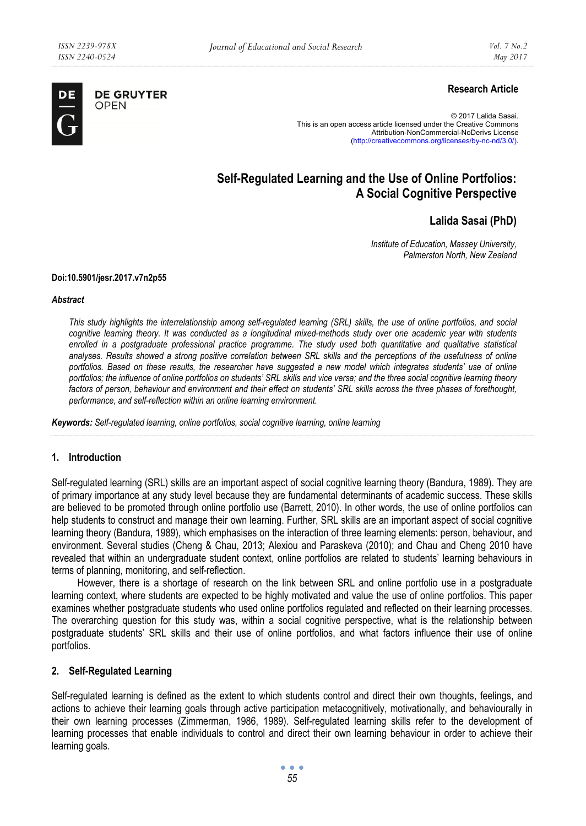

# **Research Article**

© 2017 Lalida Sasai. This is an open access article licensed under the Creative Commons Attribution-NonCommercial-NoDerivs License (http://creativecommons.org/licenses/by-nc-nd/3.0/).

# **Self-Regulated Learning and the Use of Online Portfolios: A Social Cognitive Perspective**

# **Lalida Sasai (PhD)**

*Institute of Education, Massey University, Palmerston North, New Zealand* 

#### **Doi:10.5901/jesr.2017.v7n2p55**

#### *Abstract*

*This study highlights the interrelationship among self-regulated learning (SRL) skills, the use of online portfolios, and social cognitive learning theory. It was conducted as a longitudinal mixed-methods study over one academic year with students enrolled in a postgraduate professional practice programme. The study used both quantitative and qualitative statistical analyses. Results showed a strong positive correlation between SRL skills and the perceptions of the usefulness of online portfolios. Based on these results, the researcher have suggested a new model which integrates students' use of online portfolios; the influence of online portfolios on students' SRL skills and vice versa; and the three social cognitive learning theory factors of person, behaviour and environment and their effect on students' SRL skills across the three phases of forethought, performance, and self-reflection within an online learning environment.* 

*Keywords: Self-regulated learning, online portfolios, social cognitive learning, online learning* 

#### **1. Introduction**

Self-regulated learning (SRL) skills are an important aspect of social cognitive learning theory (Bandura, 1989). They are of primary importance at any study level because they are fundamental determinants of academic success. These skills are believed to be promoted through online portfolio use (Barrett, 2010). In other words, the use of online portfolios can help students to construct and manage their own learning. Further, SRL skills are an important aspect of social cognitive learning theory (Bandura, 1989), which emphasises on the interaction of three learning elements: person, behaviour, and environment. Several studies (Cheng & Chau, 2013; Alexiou and Paraskeva (2010); and Chau and Cheng 2010 have revealed that within an undergraduate student context, online portfolios are related to students' learning behaviours in terms of planning, monitoring, and self-reflection.

However, there is a shortage of research on the link between SRL and online portfolio use in a postgraduate learning context, where students are expected to be highly motivated and value the use of online portfolios. This paper examines whether postgraduate students who used online portfolios regulated and reflected on their learning processes. The overarching question for this study was, within a social cognitive perspective, what is the relationship between postgraduate students' SRL skills and their use of online portfolios, and what factors influence their use of online portfolios.

#### **2. Self-Regulated Learning**

Self-regulated learning is defined as the extent to which students control and direct their own thoughts, feelings, and actions to achieve their learning goals through active participation metacognitively, motivationally, and behaviourally in their own learning processes (Zimmerman, 1986, 1989). Self-regulated learning skills refer to the development of learning processes that enable individuals to control and direct their own learning behaviour in order to achieve their learning goals.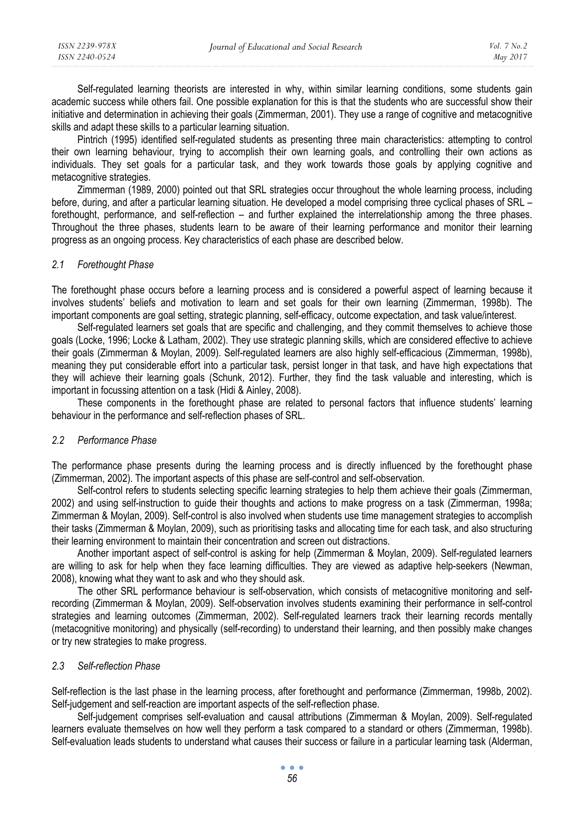Self-regulated learning theorists are interested in why, within similar learning conditions, some students gain academic success while others fail. One possible explanation for this is that the students who are successful show their initiative and determination in achieving their goals (Zimmerman, 2001). They use a range of cognitive and metacognitive skills and adapt these skills to a particular learning situation.

Pintrich (1995) identified self-regulated students as presenting three main characteristics: attempting to control their own learning behaviour, trying to accomplish their own learning goals, and controlling their own actions as individuals. They set goals for a particular task, and they work towards those goals by applying cognitive and metacognitive strategies.

Zimmerman (1989, 2000) pointed out that SRL strategies occur throughout the whole learning process, including before, during, and after a particular learning situation. He developed a model comprising three cyclical phases of SRL – forethought, performance, and self-reflection – and further explained the interrelationship among the three phases. Throughout the three phases, students learn to be aware of their learning performance and monitor their learning progress as an ongoing process. Key characteristics of each phase are described below.

#### *2.1 Forethought Phase*

The forethought phase occurs before a learning process and is considered a powerful aspect of learning because it involves students' beliefs and motivation to learn and set goals for their own learning (Zimmerman, 1998b). The important components are goal setting, strategic planning, self-efficacy, outcome expectation, and task value/interest.

Self-regulated learners set goals that are specific and challenging, and they commit themselves to achieve those goals (Locke, 1996; Locke & Latham, 2002). They use strategic planning skills, which are considered effective to achieve their goals (Zimmerman & Moylan, 2009). Self-regulated learners are also highly self-efficacious (Zimmerman, 1998b), meaning they put considerable effort into a particular task, persist longer in that task, and have high expectations that they will achieve their learning goals (Schunk, 2012). Further, they find the task valuable and interesting, which is important in focussing attention on a task (Hidi & Ainley, 2008).

These components in the forethought phase are related to personal factors that influence students' learning behaviour in the performance and self-reflection phases of SRL.

#### *2.2 Performance Phase*

The performance phase presents during the learning process and is directly influenced by the forethought phase (Zimmerman, 2002). The important aspects of this phase are self-control and self-observation.

Self-control refers to students selecting specific learning strategies to help them achieve their goals (Zimmerman, 2002) and using self-instruction to guide their thoughts and actions to make progress on a task (Zimmerman, 1998a; Zimmerman & Moylan, 2009). Self-control is also involved when students use time management strategies to accomplish their tasks (Zimmerman & Moylan, 2009), such as prioritising tasks and allocating time for each task, and also structuring their learning environment to maintain their concentration and screen out distractions.

Another important aspect of self-control is asking for help (Zimmerman & Moylan, 2009). Self-regulated learners are willing to ask for help when they face learning difficulties. They are viewed as adaptive help-seekers (Newman, 2008), knowing what they want to ask and who they should ask.

The other SRL performance behaviour is self-observation, which consists of metacognitive monitoring and selfrecording (Zimmerman & Moylan, 2009). Self-observation involves students examining their performance in self-control strategies and learning outcomes (Zimmerman, 2002). Self-regulated learners track their learning records mentally (metacognitive monitoring) and physically (self-recording) to understand their learning, and then possibly make changes or try new strategies to make progress.

#### *2.3 Self-reflection Phase*

Self-reflection is the last phase in the learning process, after forethought and performance (Zimmerman, 1998b, 2002). Self-judgement and self-reaction are important aspects of the self-reflection phase.

Self-judgement comprises self-evaluation and causal attributions (Zimmerman & Moylan, 2009). Self-regulated learners evaluate themselves on how well they perform a task compared to a standard or others (Zimmerman, 1998b). Self-evaluation leads students to understand what causes their success or failure in a particular learning task (Alderman,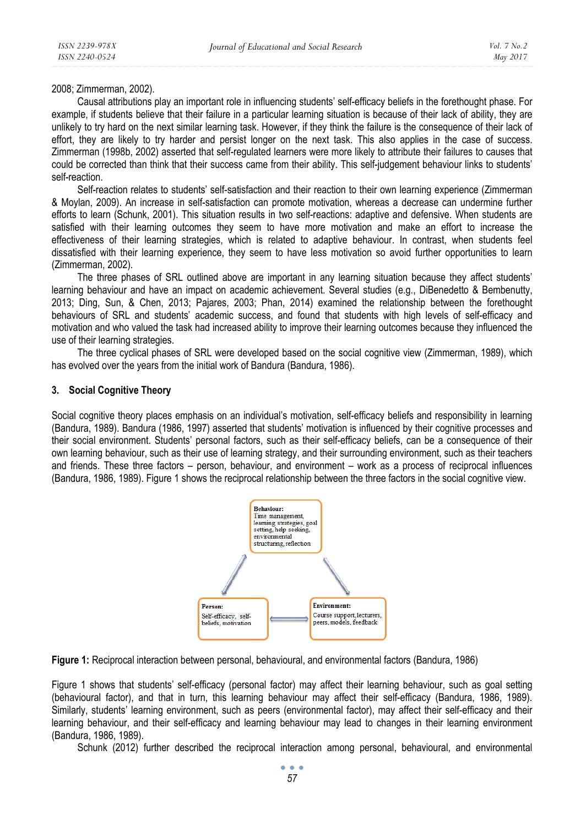2008; Zimmerman, 2002).

Causal attributions play an important role in influencing students' self-efficacy beliefs in the forethought phase. For example, if students believe that their failure in a particular learning situation is because of their lack of ability, they are unlikely to try hard on the next similar learning task. However, if they think the failure is the consequence of their lack of effort, they are likely to try harder and persist longer on the next task. This also applies in the case of success. Zimmerman (1998b, 2002) asserted that self-regulated learners were more likely to attribute their failures to causes that could be corrected than think that their success came from their ability. This self-judgement behaviour links to students' self-reaction.

Self-reaction relates to students' self-satisfaction and their reaction to their own learning experience (Zimmerman & Moylan, 2009). An increase in self-satisfaction can promote motivation, whereas a decrease can undermine further efforts to learn (Schunk, 2001). This situation results in two self-reactions: adaptive and defensive. When students are satisfied with their learning outcomes they seem to have more motivation and make an effort to increase the effectiveness of their learning strategies, which is related to adaptive behaviour. In contrast, when students feel dissatisfied with their learning experience, they seem to have less motivation so avoid further opportunities to learn (Zimmerman, 2002).

The three phases of SRL outlined above are important in any learning situation because they affect students' learning behaviour and have an impact on academic achievement. Several studies (e.g., DiBenedetto & Bembenutty, 2013; Ding, Sun, & Chen, 2013; Pajares, 2003; Phan, 2014) examined the relationship between the forethought behaviours of SRL and students' academic success, and found that students with high levels of self-efficacy and motivation and who valued the task had increased ability to improve their learning outcomes because they influenced the use of their learning strategies.

The three cyclical phases of SRL were developed based on the social cognitive view (Zimmerman, 1989), which has evolved over the years from the initial work of Bandura (Bandura, 1986).

#### **3. Social Cognitive Theory**

Social cognitive theory places emphasis on an individual's motivation, self-efficacy beliefs and responsibility in learning (Bandura, 1989). Bandura (1986, 1997) asserted that students' motivation is influenced by their cognitive processes and their social environment. Students' personal factors, such as their self-efficacy beliefs, can be a consequence of their own learning behaviour, such as their use of learning strategy, and their surrounding environment, such as their teachers and friends. These three factors – person, behaviour, and environment – work as a process of reciprocal influences (Bandura, 1986, 1989). Figure 1 shows the reciprocal relationship between the three factors in the social cognitive view.



**Figure 1:** Reciprocal interaction between personal, behavioural, and environmental factors (Bandura, 1986)

Figure 1 shows that students' self-efficacy (personal factor) may affect their learning behaviour, such as goal setting (behavioural factor), and that in turn, this learning behaviour may affect their self-efficacy (Bandura, 1986, 1989). Similarly, students' learning environment, such as peers (environmental factor), may affect their self-efficacy and their learning behaviour, and their self-efficacy and learning behaviour may lead to changes in their learning environment (Bandura, 1986, 1989).

Schunk (2012) further described the reciprocal interaction among personal, behavioural, and environmental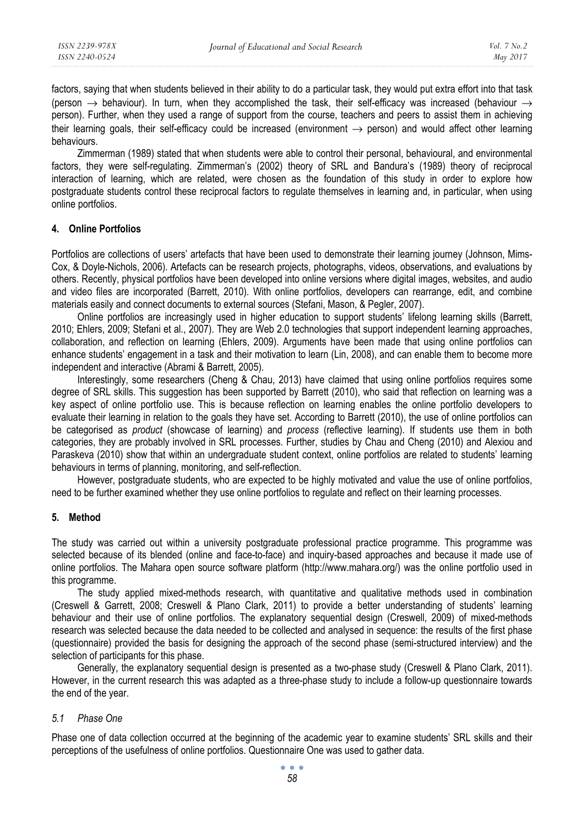factors, saying that when students believed in their ability to do a particular task, they would put extra effort into that task (person  $\rightarrow$  behaviour). In turn, when they accomplished the task, their self-efficacy was increased (behaviour  $\rightarrow$ person). Further, when they used a range of support from the course, teachers and peers to assist them in achieving their learning goals, their self-efficacy could be increased (environment  $\rightarrow$  person) and would affect other learning behaviours.

Zimmerman (1989) stated that when students were able to control their personal, behavioural, and environmental factors, they were self-regulating. Zimmerman's (2002) theory of SRL and Bandura's (1989) theory of reciprocal interaction of learning, which are related, were chosen as the foundation of this study in order to explore how postgraduate students control these reciprocal factors to regulate themselves in learning and, in particular, when using online portfolios.

### **4. Online Portfolios**

Portfolios are collections of users' artefacts that have been used to demonstrate their learning journey (Johnson, Mims-Cox, & Doyle-Nichols, 2006). Artefacts can be research projects, photographs, videos, observations, and evaluations by others. Recently, physical portfolios have been developed into online versions where digital images, websites, and audio and video files are incorporated (Barrett, 2010). With online portfolios, developers can rearrange, edit, and combine materials easily and connect documents to external sources (Stefani, Mason, & Pegler, 2007).

Online portfolios are increasingly used in higher education to support students' lifelong learning skills (Barrett, 2010; Ehlers, 2009; Stefani et al., 2007). They are Web 2.0 technologies that support independent learning approaches, collaboration, and reflection on learning (Ehlers, 2009). Arguments have been made that using online portfolios can enhance students' engagement in a task and their motivation to learn (Lin, 2008), and can enable them to become more independent and interactive (Abrami & Barrett, 2005).

Interestingly, some researchers (Cheng & Chau, 2013) have claimed that using online portfolios requires some degree of SRL skills. This suggestion has been supported by Barrett (2010), who said that reflection on learning was a key aspect of online portfolio use. This is because reflection on learning enables the online portfolio developers to evaluate their learning in relation to the goals they have set. According to Barrett (2010), the use of online portfolios can be categorised as *product* (showcase of learning) and *process* (reflective learning). If students use them in both categories, they are probably involved in SRL processes. Further, studies by Chau and Cheng (2010) and Alexiou and Paraskeva (2010) show that within an undergraduate student context, online portfolios are related to students' learning behaviours in terms of planning, monitoring, and self-reflection.

However, postgraduate students, who are expected to be highly motivated and value the use of online portfolios, need to be further examined whether they use online portfolios to regulate and reflect on their learning processes.

#### **5. Method**

The study was carried out within a university postgraduate professional practice programme. This programme was selected because of its blended (online and face-to-face) and inquiry-based approaches and because it made use of online portfolios. The Mahara open source software platform (http://www.mahara.org/) was the online portfolio used in this programme.

The study applied mixed-methods research, with quantitative and qualitative methods used in combination (Creswell & Garrett, 2008; Creswell & Plano Clark, 2011) to provide a better understanding of students' learning behaviour and their use of online portfolios. The explanatory sequential design (Creswell, 2009) of mixed-methods research was selected because the data needed to be collected and analysed in sequence: the results of the first phase (questionnaire) provided the basis for designing the approach of the second phase (semi-structured interview) and the selection of participants for this phase.

Generally, the explanatory sequential design is presented as a two-phase study (Creswell & Plano Clark, 2011). However, in the current research this was adapted as a three-phase study to include a follow-up questionnaire towards the end of the year.

#### *5.1 Phase One*

Phase one of data collection occurred at the beginning of the academic year to examine students' SRL skills and their perceptions of the usefulness of online portfolios. Questionnaire One was used to gather data.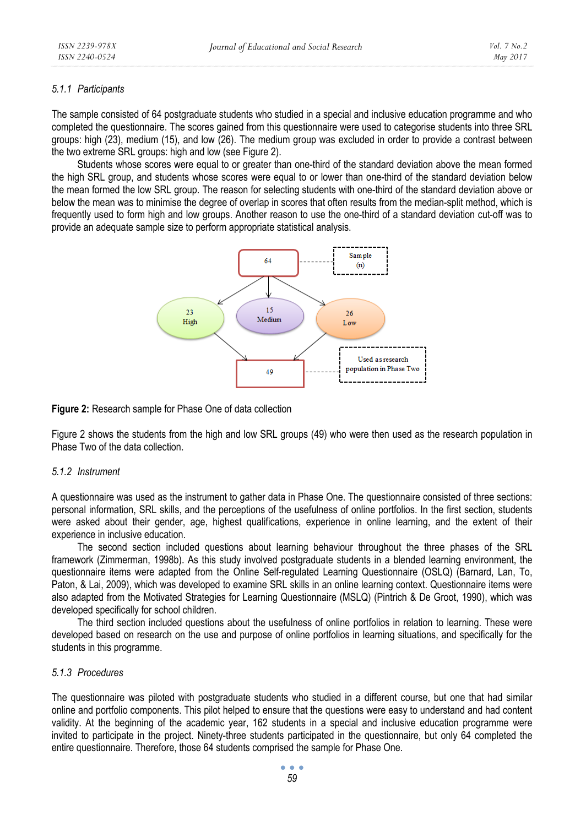#### *5.1.1 Participants*

The sample consisted of 64 postgraduate students who studied in a special and inclusive education programme and who completed the questionnaire. The scores gained from this questionnaire were used to categorise students into three SRL groups: high (23), medium (15), and low (26). The medium group was excluded in order to provide a contrast between the two extreme SRL groups: high and low (see Figure 2).

Students whose scores were equal to or greater than one-third of the standard deviation above the mean formed the high SRL group, and students whose scores were equal to or lower than one-third of the standard deviation below the mean formed the low SRL group. The reason for selecting students with one-third of the standard deviation above or below the mean was to minimise the degree of overlap in scores that often results from the median-split method, which is frequently used to form high and low groups. Another reason to use the one-third of a standard deviation cut-off was to provide an adequate sample size to perform appropriate statistical analysis.



**Figure 2:** Research sample for Phase One of data collection

Figure 2 shows the students from the high and low SRL groups (49) who were then used as the research population in Phase Two of the data collection.

#### *5.1.2 Instrument*

A questionnaire was used as the instrument to gather data in Phase One. The questionnaire consisted of three sections: personal information, SRL skills, and the perceptions of the usefulness of online portfolios. In the first section, students were asked about their gender, age, highest qualifications, experience in online learning, and the extent of their experience in inclusive education.

The second section included questions about learning behaviour throughout the three phases of the SRL framework (Zimmerman, 1998b). As this study involved postgraduate students in a blended learning environment, the questionnaire items were adapted from the Online Self-regulated Learning Questionnaire (OSLQ) (Barnard, Lan, To, Paton, & Lai, 2009), which was developed to examine SRL skills in an online learning context. Questionnaire items were also adapted from the Motivated Strategies for Learning Questionnaire (MSLQ) (Pintrich & De Groot, 1990), which was developed specifically for school children.

The third section included questions about the usefulness of online portfolios in relation to learning. These were developed based on research on the use and purpose of online portfolios in learning situations, and specifically for the students in this programme.

#### *5.1.3 Procedures*

The questionnaire was piloted with postgraduate students who studied in a different course, but one that had similar online and portfolio components. This pilot helped to ensure that the questions were easy to understand and had content validity. At the beginning of the academic year, 162 students in a special and inclusive education programme were invited to participate in the project. Ninety-three students participated in the questionnaire, but only 64 completed the entire questionnaire. Therefore, those 64 students comprised the sample for Phase One.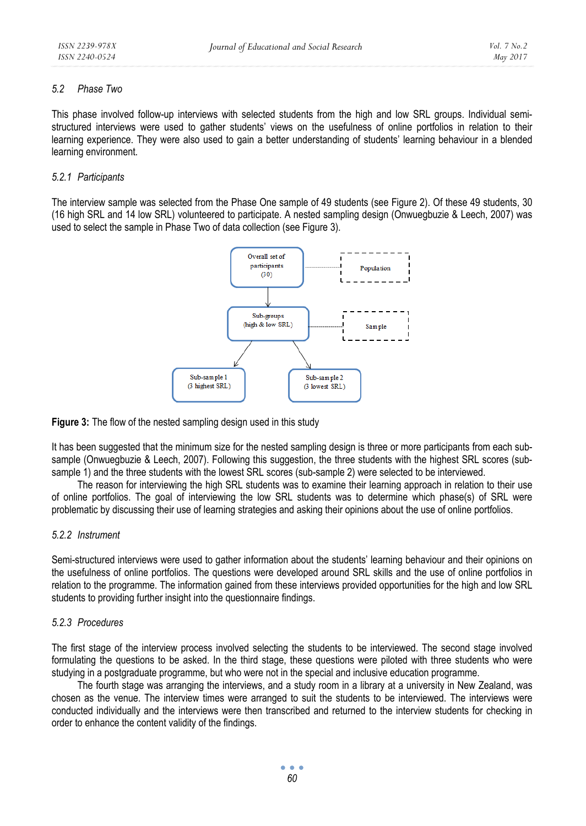### *5.2 Phase Two*

This phase involved follow-up interviews with selected students from the high and low SRL groups. Individual semistructured interviews were used to gather students' views on the usefulness of online portfolios in relation to their learning experience. They were also used to gain a better understanding of students' learning behaviour in a blended learning environment.

### *5.2.1 Participants*

The interview sample was selected from the Phase One sample of 49 students (see Figure 2). Of these 49 students, 30 (16 high SRL and 14 low SRL) volunteered to participate. A nested sampling design (Onwuegbuzie & Leech, 2007) was used to select the sample in Phase Two of data collection (see Figure 3).



**Figure 3:** The flow of the nested sampling design used in this study

It has been suggested that the minimum size for the nested sampling design is three or more participants from each subsample (Onwuegbuzie & Leech, 2007). Following this suggestion, the three students with the highest SRL scores (subsample 1) and the three students with the lowest SRL scores (sub-sample 2) were selected to be interviewed.

The reason for interviewing the high SRL students was to examine their learning approach in relation to their use of online portfolios. The goal of interviewing the low SRL students was to determine which phase(s) of SRL were problematic by discussing their use of learning strategies and asking their opinions about the use of online portfolios.

#### *5.2.2 Instrument*

Semi-structured interviews were used to gather information about the students' learning behaviour and their opinions on the usefulness of online portfolios. The questions were developed around SRL skills and the use of online portfolios in relation to the programme. The information gained from these interviews provided opportunities for the high and low SRL students to providing further insight into the questionnaire findings.

#### *5.2.3 Procedures*

The first stage of the interview process involved selecting the students to be interviewed. The second stage involved formulating the questions to be asked. In the third stage, these questions were piloted with three students who were studying in a postgraduate programme, but who were not in the special and inclusive education programme.

The fourth stage was arranging the interviews, and a study room in a library at a university in New Zealand, was chosen as the venue. The interview times were arranged to suit the students to be interviewed. The interviews were conducted individually and the interviews were then transcribed and returned to the interview students for checking in order to enhance the content validity of the findings.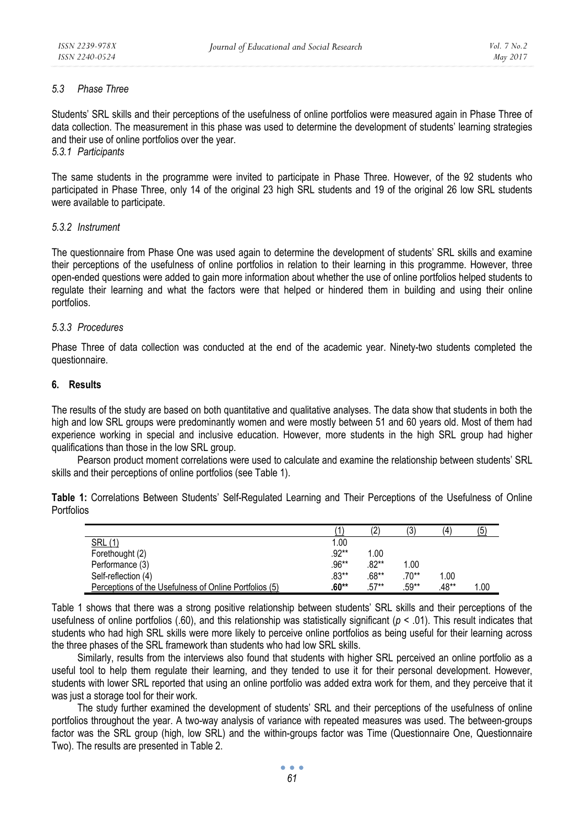#### *5.3 Phase Three*

Students' SRL skills and their perceptions of the usefulness of online portfolios were measured again in Phase Three of data collection. The measurement in this phase was used to determine the development of students' learning strategies and their use of online portfolios over the year.

*5.3.1 Participants* 

The same students in the programme were invited to participate in Phase Three. However, of the 92 students who participated in Phase Three, only 14 of the original 23 high SRL students and 19 of the original 26 low SRL students were available to participate.

### *5.3.2 Instrument*

The questionnaire from Phase One was used again to determine the development of students' SRL skills and examine their perceptions of the usefulness of online portfolios in relation to their learning in this programme. However, three open-ended questions were added to gain more information about whether the use of online portfolios helped students to regulate their learning and what the factors were that helped or hindered them in building and using their online portfolios.

### *5.3.3 Procedures*

Phase Three of data collection was conducted at the end of the academic year. Ninety-two students completed the questionnaire.

### **6. Results**

The results of the study are based on both quantitative and qualitative analyses. The data show that students in both the high and low SRL groups were predominantly women and were mostly between 51 and 60 years old. Most of them had experience working in special and inclusive education. However, more students in the high SRL group had higher qualifications than those in the low SRL group.

Pearson product moment correlations were used to calculate and examine the relationship between students' SRL skills and their perceptions of online portfolios (see Table 1).

**Table 1:** Correlations Between Students' Self-Regulated Learning and Their Perceptions of the Usefulness of Online Portfolios

|                                                        |          | (2)     | (3      | Ι4΄     | (5)  |
|--------------------------------------------------------|----------|---------|---------|---------|------|
| <b>SRL (1)</b>                                         | 1.00     |         |         |         |      |
| Forethought (2)                                        | $.92**$  | 1.00    |         |         |      |
| Performance (3)                                        | $.96***$ | $.82**$ | 1.00    |         |      |
| Self-reflection (4)                                    | $.83***$ | $.68**$ | $.70**$ | 1.00    |      |
| Perceptions of the Usefulness of Online Portfolios (5) | $.60**$  | $.57**$ | .59**   | $.48**$ | 1.00 |

Table 1 shows that there was a strong positive relationship between students' SRL skills and their perceptions of the usefulness of online portfolios (.60), and this relationship was statistically significant ( $p < .01$ ). This result indicates that students who had high SRL skills were more likely to perceive online portfolios as being useful for their learning across the three phases of the SRL framework than students who had low SRL skills.

Similarly, results from the interviews also found that students with higher SRL perceived an online portfolio as a useful tool to help them regulate their learning, and they tended to use it for their personal development. However, students with lower SRL reported that using an online portfolio was added extra work for them, and they perceive that it was just a storage tool for their work.

The study further examined the development of students' SRL and their perceptions of the usefulness of online portfolios throughout the year. A two-way analysis of variance with repeated measures was used. The between-groups factor was the SRL group (high, low SRL) and the within-groups factor was Time (Questionnaire One, Questionnaire Two). The results are presented in Table 2.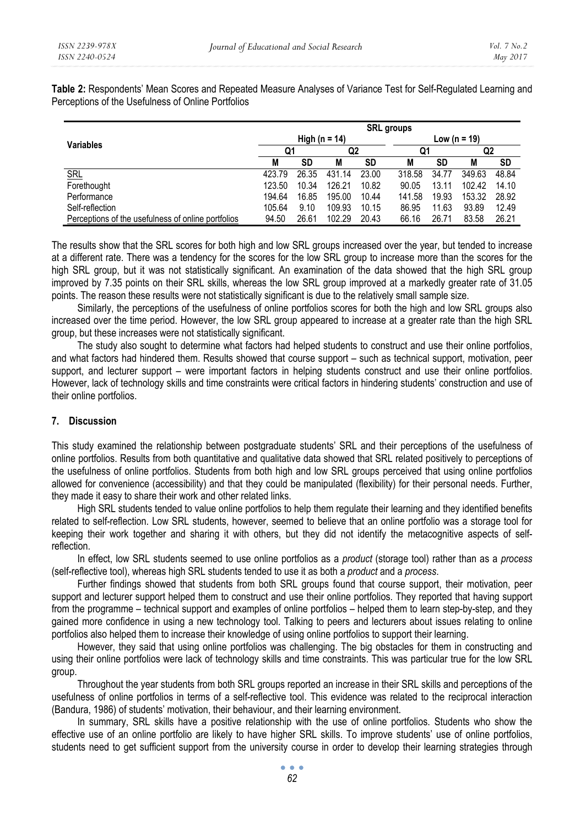**Table 2:** Respondents' Mean Scores and Repeated Measure Analyses of Variance Test for Self-Regulated Learning and Perceptions of the Usefulness of Online Portfolios

|                                                    | <b>SRL</b> groups |       |        |       |              |       |        |       |  |
|----------------------------------------------------|-------------------|-------|--------|-------|--------------|-------|--------|-------|--|
| <b>Variables</b>                                   | High (n = 14)     |       |        |       | Low (n = 19) |       |        |       |  |
|                                                    | Q1                |       | Q2     |       | Q1           |       | Q2     |       |  |
|                                                    | M                 | SD    | M      | SD    | M            | SD    | M      | SD    |  |
| <b>SRL</b>                                         | 423.79            | 26.35 | 431.14 | 23.00 | 318.58       | 34.77 | 349.63 | 48.84 |  |
| Forethought                                        | 123.50            | 10.34 | 126.21 | 10.82 | 90.05        | 13.11 | 10242  | 14.10 |  |
| Performance                                        | 194.64            | 16.85 | 195.00 | 10.44 | 141.58       | 19.93 | 153.32 | 28.92 |  |
| Self-reflection                                    | 105.64            | 9.10  | 109.93 | 10.15 | 86.95        | 11.63 | 93.89  | 12.49 |  |
| Perceptions of the usefulness of online portfolios | 94.50             | 26.61 | 102.29 | 20.43 | 66.16        | 26.71 | 83.58  | 26.21 |  |

The results show that the SRL scores for both high and low SRL groups increased over the year, but tended to increase at a different rate. There was a tendency for the scores for the low SRL group to increase more than the scores for the high SRL group, but it was not statistically significant. An examination of the data showed that the high SRL group improved by 7.35 points on their SRL skills, whereas the low SRL group improved at a markedly greater rate of 31.05 points. The reason these results were not statistically significant is due to the relatively small sample size.

Similarly, the perceptions of the usefulness of online portfolios scores for both the high and low SRL groups also increased over the time period. However, the low SRL group appeared to increase at a greater rate than the high SRL group, but these increases were not statistically significant.

The study also sought to determine what factors had helped students to construct and use their online portfolios, and what factors had hindered them. Results showed that course support – such as technical support, motivation, peer support, and lecturer support – were important factors in helping students construct and use their online portfolios. However, lack of technology skills and time constraints were critical factors in hindering students' construction and use of their online portfolios.

#### **7. Discussion**

This study examined the relationship between postgraduate students' SRL and their perceptions of the usefulness of online portfolios. Results from both quantitative and qualitative data showed that SRL related positively to perceptions of the usefulness of online portfolios. Students from both high and low SRL groups perceived that using online portfolios allowed for convenience (accessibility) and that they could be manipulated (flexibility) for their personal needs. Further, they made it easy to share their work and other related links.

High SRL students tended to value online portfolios to help them regulate their learning and they identified benefits related to self-reflection. Low SRL students, however, seemed to believe that an online portfolio was a storage tool for keeping their work together and sharing it with others, but they did not identify the metacognitive aspects of selfreflection.

In effect, low SRL students seemed to use online portfolios as a *product* (storage tool) rather than as a *process* (self-reflective tool), whereas high SRL students tended to use it as both a *product* and a *process*.

Further findings showed that students from both SRL groups found that course support, their motivation, peer support and lecturer support helped them to construct and use their online portfolios. They reported that having support from the programme – technical support and examples of online portfolios – helped them to learn step-by-step, and they gained more confidence in using a new technology tool. Talking to peers and lecturers about issues relating to online portfolios also helped them to increase their knowledge of using online portfolios to support their learning.

However, they said that using online portfolios was challenging. The big obstacles for them in constructing and using their online portfolios were lack of technology skills and time constraints. This was particular true for the low SRL group.

Throughout the year students from both SRL groups reported an increase in their SRL skills and perceptions of the usefulness of online portfolios in terms of a self-reflective tool. This evidence was related to the reciprocal interaction (Bandura, 1986) of students' motivation, their behaviour, and their learning environment.

In summary, SRL skills have a positive relationship with the use of online portfolios. Students who show the effective use of an online portfolio are likely to have higher SRL skills. To improve students' use of online portfolios, students need to get sufficient support from the university course in order to develop their learning strategies through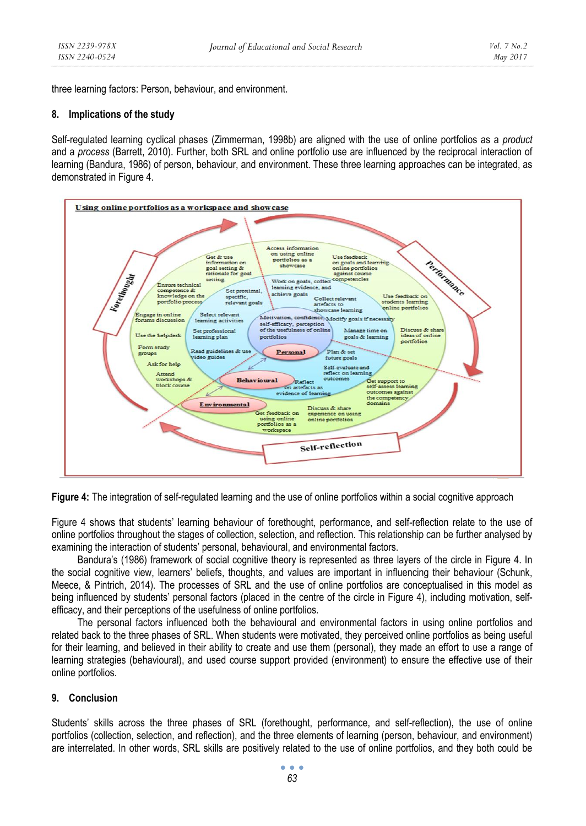three learning factors: Person, behaviour, and environment.

#### **8. Implications of the study**

Self-regulated learning cyclical phases (Zimmerman, 1998b) are aligned with the use of online portfolios as a *product* and a *process* (Barrett, 2010). Further, both SRL and online portfolio use are influenced by the reciprocal interaction of learning (Bandura, 1986) of person, behaviour, and environment. These three learning approaches can be integrated, as demonstrated in Figure 4.



**Figure 4:** The integration of self-regulated learning and the use of online portfolios within a social cognitive approach

Figure 4 shows that students' learning behaviour of forethought, performance, and self-reflection relate to the use of online portfolios throughout the stages of collection, selection, and reflection. This relationship can be further analysed by examining the interaction of students' personal, behavioural, and environmental factors.

Bandura's (1986) framework of social cognitive theory is represented as three layers of the circle in Figure 4. In the social cognitive view, learners' beliefs, thoughts, and values are important in influencing their behaviour (Schunk, Meece, & Pintrich, 2014). The processes of SRL and the use of online portfolios are conceptualised in this model as being influenced by students' personal factors (placed in the centre of the circle in Figure 4), including motivation, selfefficacy, and their perceptions of the usefulness of online portfolios.

The personal factors influenced both the behavioural and environmental factors in using online portfolios and related back to the three phases of SRL. When students were motivated, they perceived online portfolios as being useful for their learning, and believed in their ability to create and use them (personal), they made an effort to use a range of learning strategies (behavioural), and used course support provided (environment) to ensure the effective use of their online portfolios.

#### **9. Conclusion**

Students' skills across the three phases of SRL (forethought, performance, and self-reflection), the use of online portfolios (collection, selection, and reflection), and the three elements of learning (person, behaviour, and environment) are interrelated. In other words, SRL skills are positively related to the use of online portfolios, and they both could be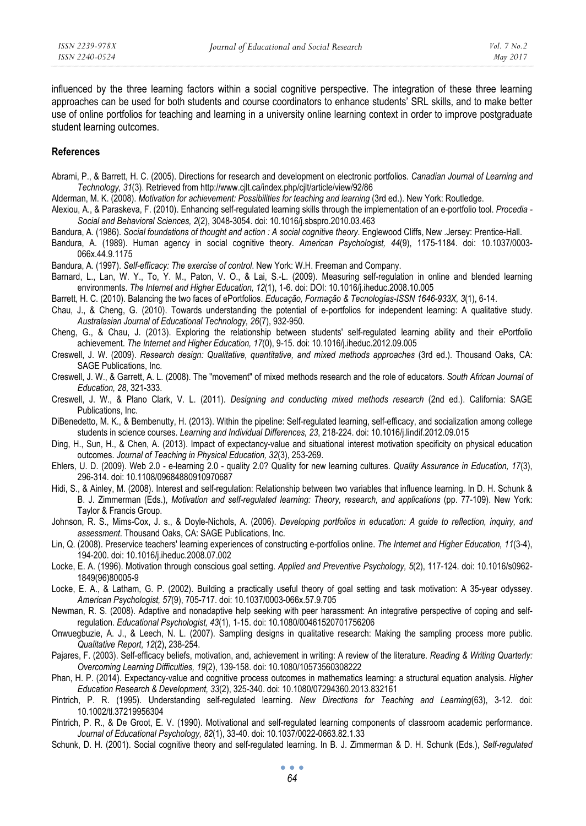influenced by the three learning factors within a social cognitive perspective. The integration of these three learning approaches can be used for both students and course coordinators to enhance students' SRL skills, and to make better use of online portfolios for teaching and learning in a university online learning context in order to improve postgraduate student learning outcomes.

#### **References**

Abrami, P., & Barrett, H. C. (2005). Directions for research and development on electronic portfolios. *Canadian Journal of Learning and Technology, 31*(3). Retrieved from http://www.cjlt.ca/index.php/cjlt/article/view/92/86

Alderman, M. K. (2008). *Motivation for achievement: Possibilities for teaching and learning* (3rd ed.). New York: Routledge.

- Alexiou, A., & Paraskeva, F. (2010). Enhancing self-regulated learning skills through the implementation of an e-portfolio tool. *Procedia Social and Behavioral Sciences, 2*(2), 3048-3054. doi: 10.1016/j.sbspro.2010.03.463
- Bandura, A. (1986). *Social foundations of thought and action : A social cognitive theory*. Englewood Cliffs, New .Jersey: Prentice-Hall.
- Bandura, A. (1989). Human agency in social cognitive theory. *American Psychologist, 44*(9), 1175-1184. doi: 10.1037/0003- 066x.44.9.1175
- Bandura, A. (1997). *Self-efficacy: The exercise of control*. New York: W.H. Freeman and Company.
- Barnard, L., Lan, W. Y., To, Y. M., Paton, V. O., & Lai, S.-L. (2009). Measuring self-regulation in online and blended learning environments. *The Internet and Higher Education, 12*(1), 1-6. doi: DOI: 10.1016/j.iheduc.2008.10.005
- Barrett, H. C. (2010). Balancing the two faces of ePortfolios. *Educação, Formação & Tecnologias-ISSN 1646-933X, 3*(1), 6-14.
- Chau, J., & Cheng, G. (2010). Towards understanding the potential of e-portfolios for independent learning: A qualitative study. *Australasian Journal of Educational Technology, 26*(7), 932-950.
- Cheng, G., & Chau, J. (2013). Exploring the relationship between students' self-regulated learning ability and their ePortfolio achievement. *The Internet and Higher Education, 17*(0), 9-15. doi: 10.1016/j.iheduc.2012.09.005
- Creswell, J. W. (2009). *Research design: Qualitative, quantitative, and mixed methods approaches* (3rd ed.). Thousand Oaks, CA: SAGE Publications, Inc.
- Creswell, J. W., & Garrett, A. L. (2008). The "movement" of mixed methods research and the role of educators. *South African Journal of Education, 28*, 321-333.
- Creswell, J. W., & Plano Clark, V. L. (2011). *Designing and conducting mixed methods research* (2nd ed.). California: SAGE Publications, Inc.
- DiBenedetto, M. K., & Bembenutty, H. (2013). Within the pipeline: Self-regulated learning, self-efficacy, and socialization among college students in science courses. *Learning and Individual Differences, 23*, 218-224. doi: 10.1016/j.lindif.2012.09.015
- Ding, H., Sun, H., & Chen, A. (2013). Impact of expectancy-value and situational interest motivation specificity on physical education outcomes. *Journal of Teaching in Physical Education, 32*(3), 253-269.
- Ehlers, U. D. (2009). Web 2.0 e-learning 2.0 quality 2.0? Quality for new learning cultures. *Quality Assurance in Education, 17*(3), 296-314. doi: 10.1108/09684880910970687
- Hidi, S., & Ainley, M. (2008). Interest and self-regulation: Relationship between two variables that influence learning. In D. H. Schunk & B. J. Zimmerman (Eds.), *Motivation and self-regulated learning: Theory, research, and applications* (pp. 77-109). New York: Taylor & Francis Group.
- Johnson, R. S., Mims-Cox, J. s., & Doyle-Nichols, A. (2006). *Developing portfolios in education: A guide to reflection, inquiry, and assessment*. Thousand Oaks, CA: SAGE Publications, Inc.
- Lin, Q. (2008). Preservice teachers' learning experiences of constructing e-portfolios online. *The Internet and Higher Education, 11*(3-4), 194-200. doi: 10.1016/j.iheduc.2008.07.002
- Locke, E. A. (1996). Motivation through conscious goal setting. *Applied and Preventive Psychology, 5*(2), 117-124. doi: 10.1016/s0962- 1849(96)80005-9
- Locke, E. A., & Latham, G. P. (2002). Building a practically useful theory of goal setting and task motivation: A 35-year odyssey. *American Psychologist, 57*(9), 705-717. doi: 10.1037/0003-066x.57.9.705
- Newman, R. S. (2008). Adaptive and nonadaptive help seeking with peer harassment: An integrative perspective of coping and selfregulation. *Educational Psychologist, 43*(1), 1-15. doi: 10.1080/00461520701756206
- Onwuegbuzie, A. J., & Leech, N. L. (2007). Sampling designs in qualitative research: Making the sampling process more public. *Qualitative Report, 12*(2), 238-254.
- Pajares, F. (2003). Self-efficacy beliefs, motivation, and, achievement in writing: A review of the literature. *Reading & Writing Quarterly: Overcoming Learning Difficulties, 19*(2), 139-158. doi: 10.1080/10573560308222
- Phan, H. P. (2014). Expectancy-value and cognitive process outcomes in mathematics learning: a structural equation analysis. *Higher Education Research & Development, 33*(2), 325-340. doi: 10.1080/07294360.2013.832161
- Pintrich, P. R. (1995). Understanding self-regulated learning. *New Directions for Teaching and Learning*(63), 3-12. doi: 10.1002/tl.37219956304
- Pintrich, P. R., & De Groot, E. V. (1990). Motivational and self-regulated learning components of classroom academic performance. *Journal of Educational Psychology, 82*(1), 33-40. doi: 10.1037/0022-0663.82.1.33
- Schunk, D. H. (2001). Social cognitive theory and self-regulated learning. In B. J. Zimmerman & D. H. Schunk (Eds.), *Self-regulated*